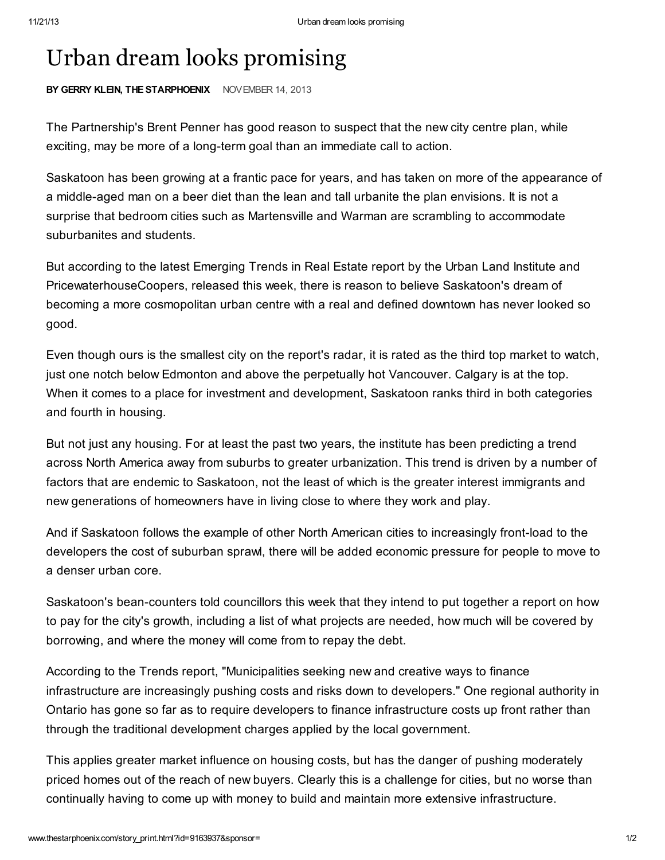## Urban dream looks promising

BY GERRY KLEIN, THE STARPHOENIX NOVEMBER 14, 2013

The Partnership's Brent Penner has good reason to suspect that the new city centre plan, while exciting, may be more of a long-term goal than an immediate call to action.

Saskatoon has been growing at a frantic pace for years, and has taken on more of the appearance of a middle-aged man on a beer diet than the lean and tall urbanite the plan envisions. It is not a surprise that bedroom cities such as Martensville and Warman are scrambling to accommodate suburbanites and students.

But according to the latest Emerging Trends in Real Estate report by the Urban Land Institute and PricewaterhouseCoopers, released this week, there is reason to believe Saskatoon's dream of becoming a more cosmopolitan urban centre with a real and defined downtown has never looked so good.

Even though ours is the smallest city on the report's radar, it is rated as the third top market to watch, just one notch below Edmonton and above the perpetually hot Vancouver. Calgary is at the top. When it comes to a place for investment and development, Saskatoon ranks third in both categories and fourth in housing.

But not just any housing. For at least the past two years, the institute has been predicting a trend across North America away from suburbs to greater urbanization. This trend is driven by a number of factors that are endemic to Saskatoon, not the least of which is the greater interest immigrants and new generations of homeowners have in living close to where they work and play.

And if Saskatoon follows the example of other North American cities to increasingly front-load to the developers the cost of suburban sprawl, there will be added economic pressure for people to move to a denser urban core.

Saskatoon's bean-counters told councillors this week that they intend to put together a report on how to pay for the city's growth, including a list of what projects are needed, how much will be covered by borrowing, and where the money will come from to repay the debt.

According to the Trends report, "Municipalities seeking new and creative ways to finance infrastructure are increasingly pushing costs and risks down to developers." One regional authority in Ontario has gone so far as to require developers to finance infrastructure costs up front rather than through the traditional development charges applied by the local government.

This applies greater market influence on housing costs, but has the danger of pushing moderately priced homes out of the reach of new buyers. Clearly this is a challenge for cities, but no worse than continually having to come up with money to build and maintain more extensive infrastructure.